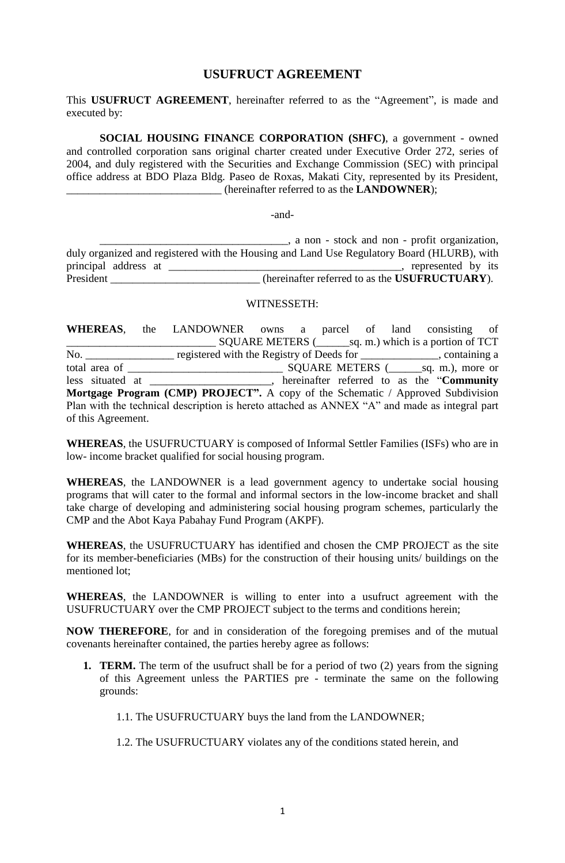# **USUFRUCT AGREEMENT**

This **USUFRUCT AGREEMENT**, hereinafter referred to as the "Agreement", is made and executed by:

**SOCIAL HOUSING FINANCE CORPORATION (SHFC)**, a government - owned and controlled corporation sans original charter created under Executive Order 272, series of 2004, and duly registered with the Securities and Exchange Commission (SEC) with principal office address at BDO Plaza Bldg. Paseo de Roxas, Makati City, represented by its President, (hereinafter referred to as the **LANDOWNER**);

-and-

\_\_\_\_\_\_\_\_\_\_\_\_\_\_\_\_\_\_\_\_\_\_\_\_\_\_\_\_\_\_\_\_\_\_, a non - stock and non - profit organization, duly organized and registered with the Housing and Land Use Regulatory Board (HLURB), with principal address at \_\_\_\_\_\_\_\_\_\_\_\_\_\_\_\_\_\_\_\_\_\_\_\_\_\_\_\_\_\_\_\_\_\_\_\_\_\_\_\_\_\_, represented by its President (hereinafter referred to as the **USUFRUCTUARY**).

#### WITNESSETH:

**WHEREAS**, the LANDOWNER owns a parcel of land consisting of \_\_\_\_\_\_\_\_\_\_\_\_\_\_\_\_\_\_\_\_\_\_\_\_\_\_\_ SQUARE METERS (\_\_\_\_\_\_sq. m.) which is a portion of TCT No. \_\_\_\_\_\_\_\_\_\_\_\_\_\_\_\_\_\_ registered with the Registry of Deeds for \_\_\_\_\_\_\_\_\_\_\_\_\_\_, containing a total area of \_\_\_\_\_\_\_\_\_\_\_\_\_\_\_\_\_\_\_\_\_\_\_\_\_\_\_\_ SQUARE METERS (\_\_\_\_\_\_sq. m.), more or less situated at \_\_\_\_\_\_\_\_\_\_\_\_\_\_\_\_\_\_\_\_\_\_, hereinafter referred to as the "**Community Mortgage Program (CMP) PROJECT".** A copy of the Schematic / Approved Subdivision Plan with the technical description is hereto attached as ANNEX "A" and made as integral part of this Agreement.

**WHEREAS**, the USUFRUCTUARY is composed of Informal Settler Families (ISFs) who are in low- income bracket qualified for social housing program.

**WHEREAS**, the LANDOWNER is a lead government agency to undertake social housing programs that will cater to the formal and informal sectors in the low-income bracket and shall take charge of developing and administering social housing program schemes, particularly the CMP and the Abot Kaya Pabahay Fund Program (AKPF).

**WHEREAS**, the USUFRUCTUARY has identified and chosen the CMP PROJECT as the site for its member-beneficiaries (MBs) for the construction of their housing units/ buildings on the mentioned lot;

**WHEREAS**, the LANDOWNER is willing to enter into a usufruct agreement with the USUFRUCTUARY over the CMP PROJECT subject to the terms and conditions herein;

**NOW THEREFORE**, for and in consideration of the foregoing premises and of the mutual covenants hereinafter contained, the parties hereby agree as follows:

- **1. TERM.** The term of the usufruct shall be for a period of two (2) years from the signing of this Agreement unless the PARTIES pre - terminate the same on the following grounds:
	- 1.1. The USUFRUCTUARY buys the land from the LANDOWNER;
	- 1.2. The USUFRUCTUARY violates any of the conditions stated herein, and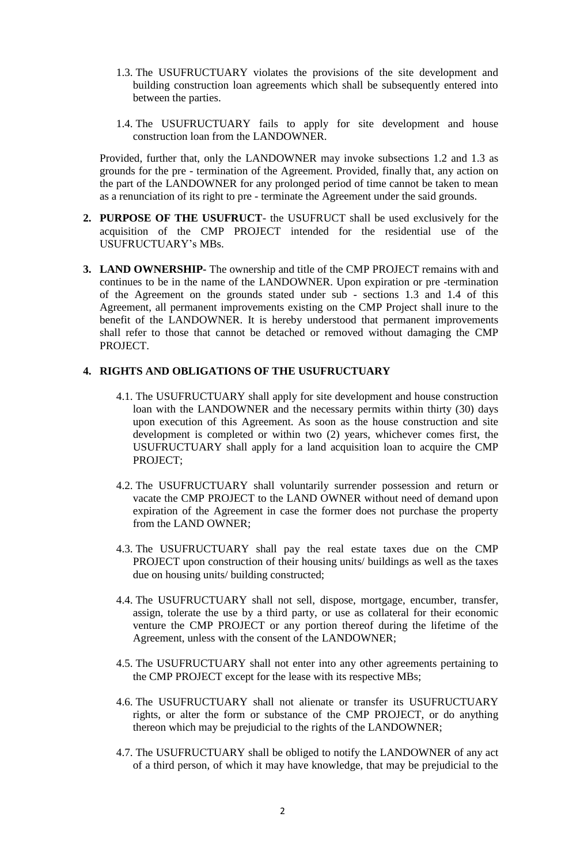- 1.3. The USUFRUCTUARY violates the provisions of the site development and building construction loan agreements which shall be subsequently entered into between the parties.
- 1.4. The USUFRUCTUARY fails to apply for site development and house construction loan from the LANDOWNER.

Provided, further that, only the LANDOWNER may invoke subsections 1.2 and 1.3 as grounds for the pre - termination of the Agreement. Provided, finally that, any action on the part of the LANDOWNER for any prolonged period of time cannot be taken to mean as a renunciation of its right to pre - terminate the Agreement under the said grounds.

- **2. PURPOSE OF THE USUFRUCT** the USUFRUCT shall be used exclusively for the acquisition of the CMP PROJECT intended for the residential use of the USUFRUCTUARY's MBs.
- **3. LAND OWNERSHIP-** The ownership and title of the CMP PROJECT remains with and continues to be in the name of the LANDOWNER. Upon expiration or pre -termination of the Agreement on the grounds stated under sub - sections 1.3 and 1.4 of this Agreement, all permanent improvements existing on the CMP Project shall inure to the benefit of the LANDOWNER. It is hereby understood that permanent improvements shall refer to those that cannot be detached or removed without damaging the CMP PROJECT.

## **4. RIGHTS AND OBLIGATIONS OF THE USUFRUCTUARY**

- 4.1. The USUFRUCTUARY shall apply for site development and house construction loan with the LANDOWNER and the necessary permits within thirty (30) days upon execution of this Agreement. As soon as the house construction and site development is completed or within two (2) years, whichever comes first, the USUFRUCTUARY shall apply for a land acquisition loan to acquire the CMP PROJECT;
- 4.2. The USUFRUCTUARY shall voluntarily surrender possession and return or vacate the CMP PROJECT to the LAND OWNER without need of demand upon expiration of the Agreement in case the former does not purchase the property from the LAND OWNER;
- 4.3. The USUFRUCTUARY shall pay the real estate taxes due on the CMP PROJECT upon construction of their housing units/ buildings as well as the taxes due on housing units/ building constructed;
- 4.4. The USUFRUCTUARY shall not sell, dispose, mortgage, encumber, transfer, assign, tolerate the use by a third party, or use as collateral for their economic venture the CMP PROJECT or any portion thereof during the lifetime of the Agreement, unless with the consent of the LANDOWNER;
- 4.5. The USUFRUCTUARY shall not enter into any other agreements pertaining to the CMP PROJECT except for the lease with its respective MBs;
- 4.6. The USUFRUCTUARY shall not alienate or transfer its USUFRUCTUARY rights, or alter the form or substance of the CMP PROJECT, or do anything thereon which may be prejudicial to the rights of the LANDOWNER;
- 4.7. The USUFRUCTUARY shall be obliged to notify the LANDOWNER of any act of a third person, of which it may have knowledge, that may be prejudicial to the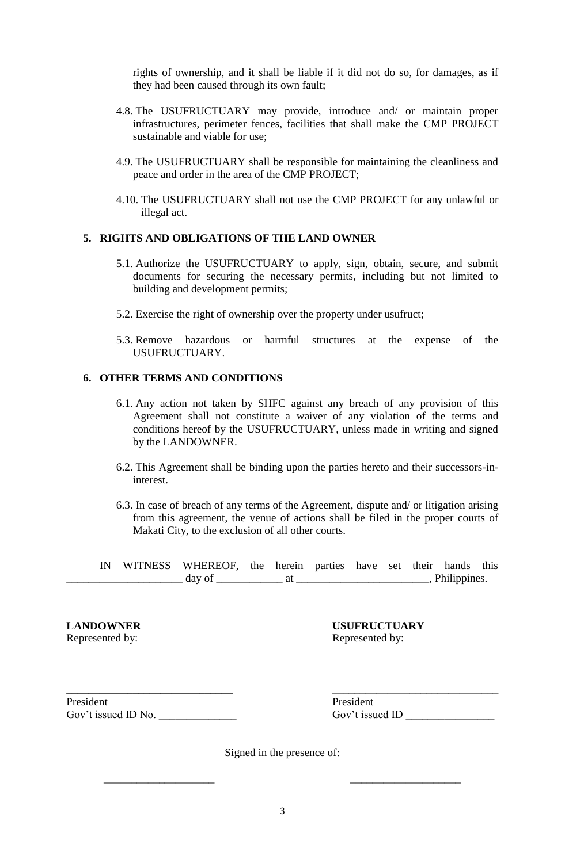rights of ownership, and it shall be liable if it did not do so, for damages, as if they had been caused through its own fault;

- 4.8. The USUFRUCTUARY may provide, introduce and/ or maintain proper infrastructures, perimeter fences, facilities that shall make the CMP PROJECT sustainable and viable for use;
- 4.9. The USUFRUCTUARY shall be responsible for maintaining the cleanliness and peace and order in the area of the CMP PROJECT;
- 4.10. The USUFRUCTUARY shall not use the CMP PROJECT for any unlawful or illegal act.

#### **5. RIGHTS AND OBLIGATIONS OF THE LAND OWNER**

- 5.1. Authorize the USUFRUCTUARY to apply, sign, obtain, secure, and submit documents for securing the necessary permits, including but not limited to building and development permits;
- 5.2. Exercise the right of ownership over the property under usufruct;
- 5.3. Remove hazardous or harmful structures at the expense of the USUFRUCTUARY.

## **6. OTHER TERMS AND CONDITIONS**

- 6.1. Any action not taken by SHFC against any breach of any provision of this Agreement shall not constitute a waiver of any violation of the terms and conditions hereof by the USUFRUCTUARY, unless made in writing and signed by the LANDOWNER.
- 6.2. This Agreement shall be binding upon the parties hereto and their successors-ininterest.
- 6.3. In case of breach of any terms of the Agreement, dispute and/ or litigation arising from this agreement, the venue of actions shall be filed in the proper courts of Makati City, to the exclusion of all other courts.

IN WITNESS WHEREOF, the herein parties have set their hands this \_\_\_\_\_\_\_\_\_\_\_\_\_\_\_\_\_\_\_\_\_ day of \_\_\_\_\_\_\_\_\_\_\_\_ at \_\_\_\_\_\_\_\_\_\_\_\_\_\_\_\_\_\_\_\_\_\_\_\_, Philippines.

**LANDOWNER USUFRUCTUARY** Represented by: Represented by:

President President Gov't issued ID No. \_\_\_\_\_\_\_\_\_\_\_\_\_\_ Gov't issued ID \_\_\_\_\_\_\_\_\_\_\_\_\_\_\_\_

Signed in the presence of:

\_\_\_\_\_\_\_\_\_\_\_\_\_\_\_\_\_\_\_\_ \_\_\_\_\_\_\_\_\_\_\_\_\_\_\_\_\_\_\_\_

**\_\_\_\_\_\_\_\_\_\_\_\_\_\_\_\_\_\_\_\_\_\_\_\_\_\_\_\_\_\_** \_\_\_\_\_\_\_\_\_\_\_\_\_\_\_\_\_\_\_\_\_\_\_\_\_\_\_\_\_\_